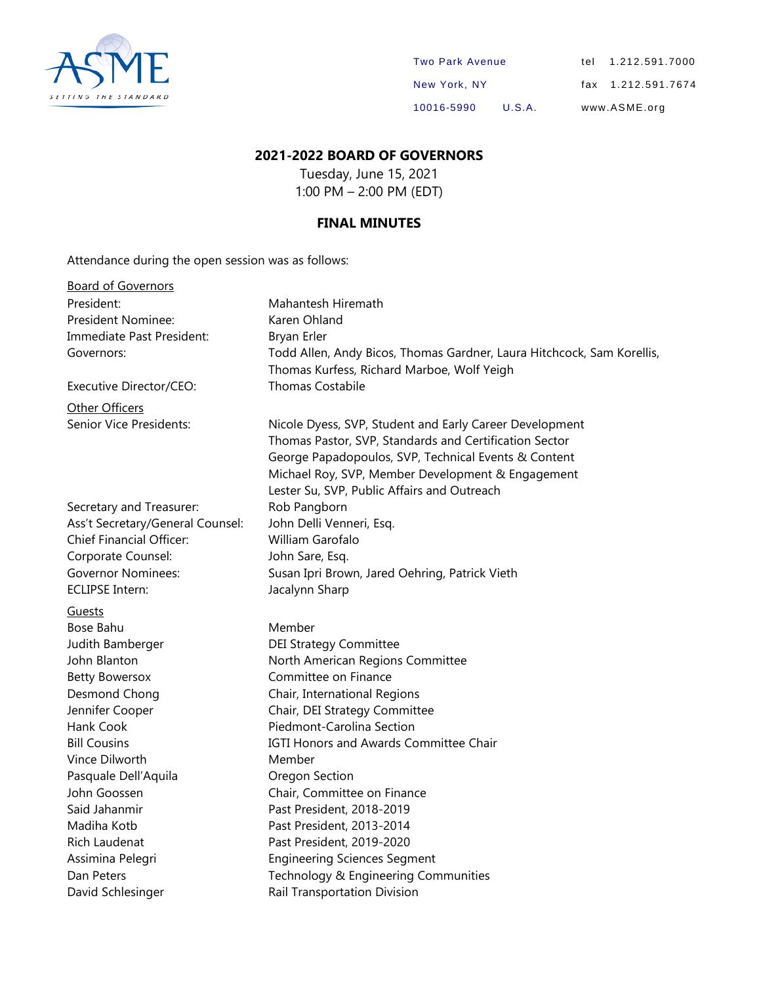

| <b>Two Park Avenue</b> |        | tel 1.212.591.7000 |
|------------------------|--------|--------------------|
| New York, NY           |        | fax 1.212.591.7674 |
| 10016-5990             | U.S.A. | www.ASME.org       |

## **2021-2022 BOARD OF GOVERNORS**

Tuesday, June 15, 2021 1:00 PM – 2:00 PM (EDT)

### **FINAL MINUTES**

Attendance during the open session was as follows:

| <b>Board of Governors</b>        |                                                                        |
|----------------------------------|------------------------------------------------------------------------|
| President:                       | Mahantesh Hiremath                                                     |
| President Nominee:               | Karen Ohland                                                           |
| Immediate Past President:        | Bryan Erler                                                            |
| Governors:                       | Todd Allen, Andy Bicos, Thomas Gardner, Laura Hitchcock, Sam Korellis, |
|                                  | Thomas Kurfess, Richard Marboe, Wolf Yeigh                             |
| Executive Director/CEO:          | <b>Thomas Costabile</b>                                                |
| Other Officers                   |                                                                        |
| Senior Vice Presidents:          | Nicole Dyess, SVP, Student and Early Career Development                |
|                                  | Thomas Pastor, SVP, Standards and Certification Sector                 |
|                                  | George Papadopoulos, SVP, Technical Events & Content                   |
|                                  | Michael Roy, SVP, Member Development & Engagement                      |
|                                  | Lester Su, SVP, Public Affairs and Outreach                            |
| Secretary and Treasurer:         | Rob Pangborn                                                           |
| Ass't Secretary/General Counsel: | John Delli Venneri, Esq.                                               |
| Chief Financial Officer:         | William Garofalo                                                       |
| Corporate Counsel:               | John Sare, Esq.                                                        |
| <b>Governor Nominees:</b>        | Susan Ipri Brown, Jared Oehring, Patrick Vieth                         |
| <b>ECLIPSE Intern:</b>           | Jacalynn Sharp                                                         |
| Guests                           |                                                                        |
| Bose Bahu                        | Member                                                                 |
| Judith Bamberger                 | <b>DEI Strategy Committee</b>                                          |
| John Blanton                     | North American Regions Committee                                       |
| <b>Betty Bowersox</b>            | Committee on Finance                                                   |
| Desmond Chong                    | Chair, International Regions                                           |
| Jennifer Cooper                  | Chair, DEI Strategy Committee                                          |
| Hank Cook                        | Piedmont-Carolina Section                                              |
| <b>Bill Cousins</b>              | IGTI Honors and Awards Committee Chair                                 |
| Vince Dilworth                   | Member                                                                 |
| Pasquale Dell'Aquila             | Oregon Section                                                         |
| John Goossen                     | Chair, Committee on Finance                                            |
| Said Jahanmir                    | Past President, 2018-2019                                              |
| Madiha Kotb                      | Past President, 2013-2014                                              |
| Rich Laudenat                    | Past President, 2019-2020                                              |
| Assimina Pelegri                 | <b>Engineering Sciences Segment</b>                                    |
| Dan Peters                       | Technology & Engineering Communities                                   |
| David Schlesinger                | Rail Transportation Division                                           |
|                                  |                                                                        |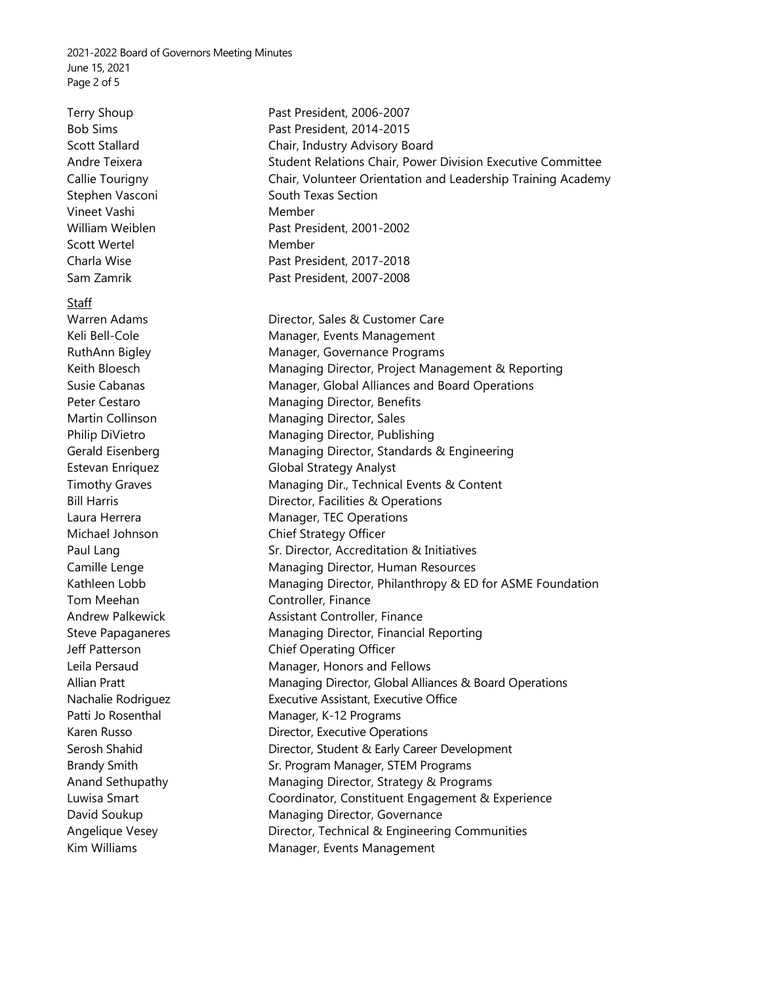2021-2022 Board of Governors Meeting Minutes June 15, 2021 Page 2 of 5

Vineet Vashi Member Scott Wertel **Member** Member

Staff

Tom Meehan **Controller**, Finance

Terry Shoup **Past President, 2006-2007** Bob Sims **Past President, 2014-2015** Scott Stallard Chair, Industry Advisory Board Andre Teixera Student Relations Chair, Power Division Executive Committee Callie Tourigny Chair, Volunteer Orientation and Leadership Training Academy Stephen Vasconi South Texas Section William Weiblen Past President, 2001-2002 Charla Wise **Past President, 2017-2018** Sam Zamrik Past President, 2007-2008 Warren Adams **Director**, Sales & Customer Care Keli Bell-Cole **Manager, Events Management** RuthAnn Bigley **Manager**, Governance Programs Keith Bloesch **Managing Director, Project Management & Reporting** Susie Cabanas **Manager, Global Alliances and Board Operations** Peter Cestaro Managing Director, Benefits Martin Collinson Managing Director, Sales Philip DiVietro Managing Director, Publishing Gerald Eisenberg **Managing Director, Standards & Engineering** Estevan Enriquez Global Strategy Analyst Timothy Graves **Managing Dir., Technical Events & Content** Bill Harris **Bill Harris Director, Facilities & Operations** Laura Herrera **Manager**, TEC Operations Michael Johnson Chief Strategy Officer Paul Lang Sr. Director, Accreditation & Initiatives Camille Lenge **Managing Director, Human Resources** Kathleen Lobb Managing Director, Philanthropy & ED for ASME Foundation Andrew Palkewick **Assistant Controller, Finance** Steve Papaganeres Managing Director, Financial Reporting Jeff Patterson Chief Operating Officer Leila Persaud **Manager**, Honors and Fellows Allian Pratt **Managing Director, Global Alliances & Board Operations** Nachalie Rodriguez Executive Assistant, Executive Office Patti Jo Rosenthal Manager, K-12 Programs Karen Russo **National Executive Operations** Director, Executive Operations Serosh Shahid **Director, Student & Early Career Development** Brandy Smith Sr. Program Manager, STEM Programs Anand Sethupathy Managing Director, Strategy & Programs Luwisa Smart Coordinator, Constituent Engagement & Experience David Soukup Managing Director, Governance Angelique Vesey **Director, Technical & Engineering Communities** Kim Williams **Manager, Events Management**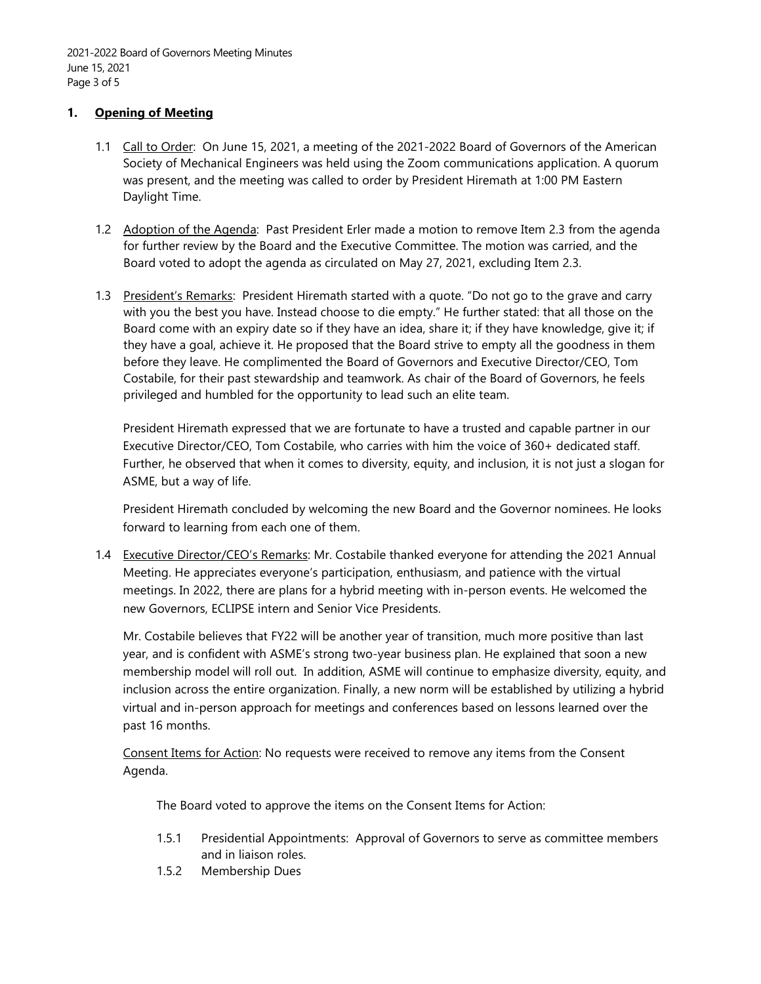#### **1. Opening of Meeting**

- 1.1 Call to Order: On June 15, 2021, a meeting of the 2021-2022 Board of Governors of the American Society of Mechanical Engineers was held using the Zoom communications application. A quorum was present, and the meeting was called to order by President Hiremath at 1:00 PM Eastern Daylight Time.
- 1.2 Adoption of the Agenda: Past President Erler made a motion to remove Item 2.3 from the agenda for further review by the Board and the Executive Committee. The motion was carried, and the Board voted to adopt the agenda as circulated on May 27, 2021, excluding Item 2.3.
- 1.3 President's Remarks: President Hiremath started with a quote. "Do not go to the grave and carry with you the best you have. Instead choose to die empty." He further stated: that all those on the Board come with an expiry date so if they have an idea, share it; if they have knowledge, give it; if they have a goal, achieve it. He proposed that the Board strive to empty all the goodness in them before they leave. He complimented the Board of Governors and Executive Director/CEO, Tom Costabile, for their past stewardship and teamwork. As chair of the Board of Governors, he feels privileged and humbled for the opportunity to lead such an elite team.

President Hiremath expressed that we are fortunate to have a trusted and capable partner in our Executive Director/CEO, Tom Costabile, who carries with him the voice of 360+ dedicated staff. Further, he observed that when it comes to diversity, equity, and inclusion, it is not just a slogan for ASME, but a way of life.

President Hiremath concluded by welcoming the new Board and the Governor nominees. He looks forward to learning from each one of them.

1.4 Executive Director/CEO's Remarks: Mr. Costabile thanked everyone for attending the 2021 Annual Meeting. He appreciates everyone's participation, enthusiasm, and patience with the virtual meetings. In 2022, there are plans for a hybrid meeting with in-person events. He welcomed the new Governors, ECLIPSE intern and Senior Vice Presidents.

Mr. Costabile believes that FY22 will be another year of transition, much more positive than last year, and is confident with ASME's strong two-year business plan. He explained that soon a new membership model will roll out. In addition, ASME will continue to emphasize diversity, equity, and inclusion across the entire organization. Finally, a new norm will be established by utilizing a hybrid virtual and in-person approach for meetings and conferences based on lessons learned over the past 16 months.

Consent Items for Action: No requests were received to remove any items from the Consent Agenda.

The Board voted to approve the items on the Consent Items for Action:

- 1.5.1 Presidential Appointments: Approval of Governors to serve as committee members and in liaison roles.
- 1.5.2 Membership Dues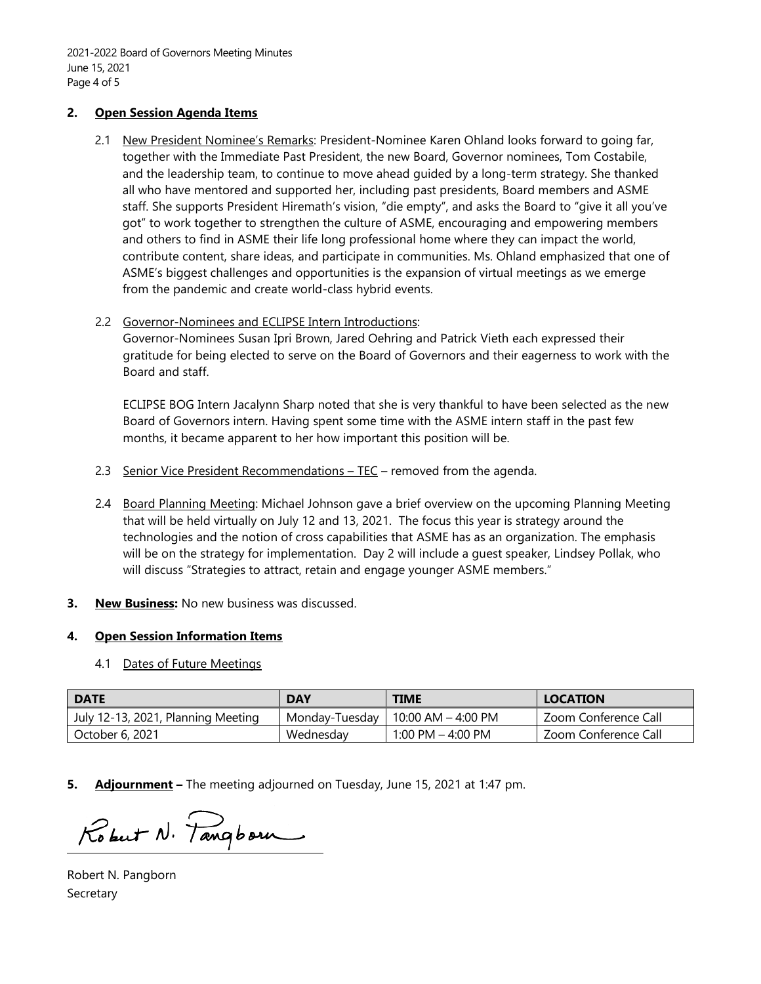#### **2. Open Session Agenda Items**

2.1 New President Nominee's Remarks: President-Nominee Karen Ohland looks forward to going far, together with the Immediate Past President, the new Board, Governor nominees, Tom Costabile, and the leadership team, to continue to move ahead guided by a long-term strategy. She thanked all who have mentored and supported her, including past presidents, Board members and ASME staff. She supports President Hiremath's vision, "die empty", and asks the Board to "give it all you've got" to work together to strengthen the culture of ASME, encouraging and empowering members and others to find in ASME their life long professional home where they can impact the world, contribute content, share ideas, and participate in communities. Ms. Ohland emphasized that one of ASME's biggest challenges and opportunities is the expansion of virtual meetings as we emerge from the pandemic and create world-class hybrid events.

#### 2.2 Governor-Nominees and ECLIPSE Intern Introductions:

Governor-Nominees Susan Ipri Brown, Jared Oehring and Patrick Vieth each expressed their gratitude for being elected to serve on the Board of Governors and their eagerness to work with the Board and staff.

ECLIPSE BOG Intern Jacalynn Sharp noted that she is very thankful to have been selected as the new Board of Governors intern. Having spent some time with the ASME intern staff in the past few months, it became apparent to her how important this position will be.

- 2.3 Senior Vice President Recommendations TEC removed from the agenda.
- 2.4 Board Planning Meeting: Michael Johnson gave a brief overview on the upcoming Planning Meeting that will be held virtually on July 12 and 13, 2021. The focus this year is strategy around the technologies and the notion of cross capabilities that ASME has as an organization. The emphasis will be on the strategy for implementation. Day 2 will include a guest speaker, Lindsey Pollak, who will discuss "Strategies to attract, retain and engage younger ASME members."
- **3. New Business:** No new business was discussed.

#### **4. Open Session Information Items**

4.1 Dates of Future Meetings

| <b>DATE</b>                        | <b>DAY</b>     | <b>TIME</b>          | <b>LOCATION</b>      |  |  |
|------------------------------------|----------------|----------------------|----------------------|--|--|
| July 12-13, 2021, Planning Meeting | Monday-Tuesday | 10:00 AM $-$ 4:00 PM | Zoom Conference Call |  |  |
| October 6, 2021                    | Wednesday      | 1:00 PM $-$ 4:00 PM  | Zoom Conference Call |  |  |

**5. Adjournment –** The meeting adjourned on Tuesday, June 15, 2021 at 1:47 pm.

Robert N. Tangborn

Robert N. Pangborn Secretary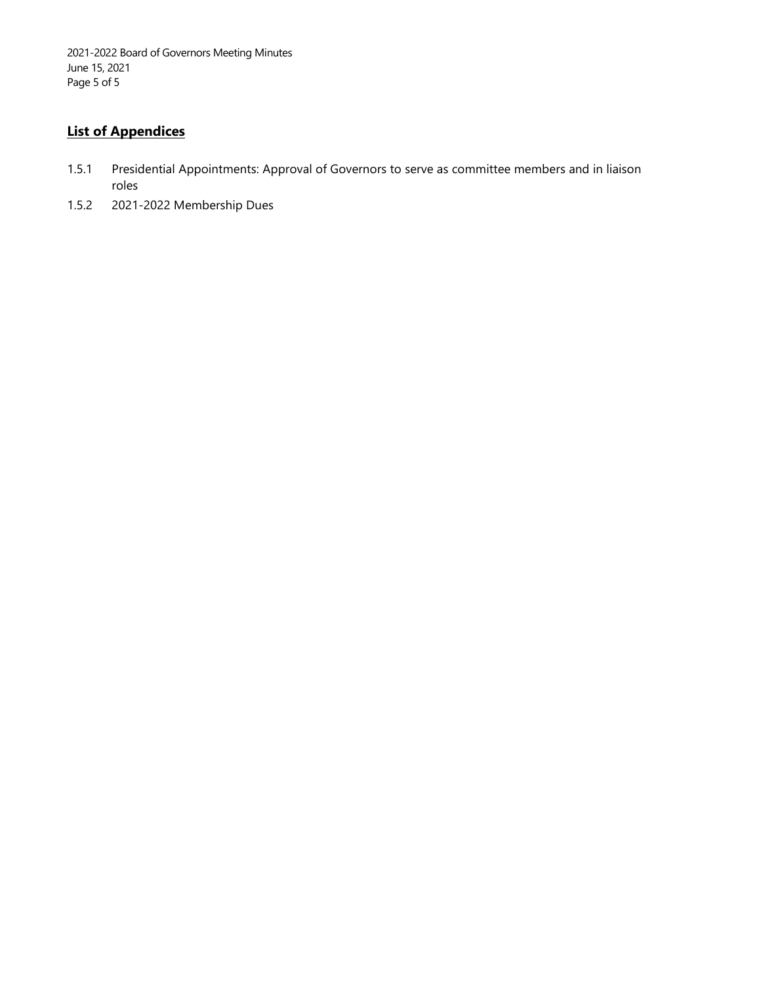2021-2022 Board of Governors Meeting Minutes June 15, 2021 Page 5 of 5

## **List of Appendices**

- 1.5.1 Presidential Appointments: Approval of Governors to serve as committee members and in liaison roles
- 1.5.2 2021-2022 Membership Dues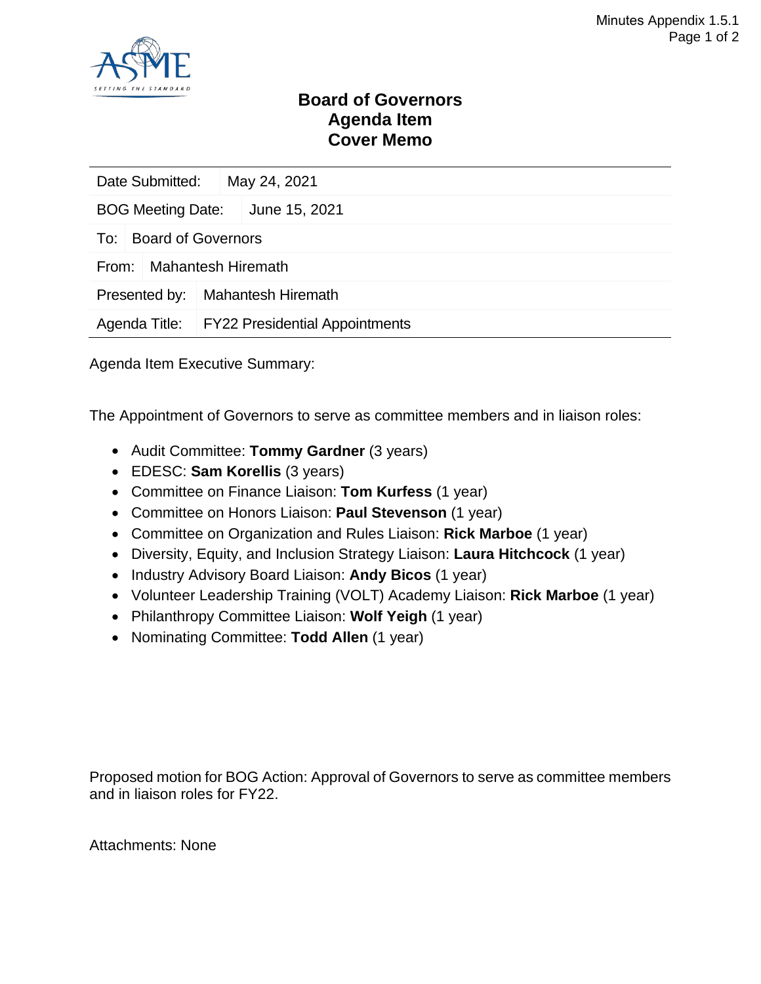

## **Board of Governors Agenda Item Cover Memo**

| Date Submitted:                    | May 24, 2021 |                                              |  |  |  |  |
|------------------------------------|--------------|----------------------------------------------|--|--|--|--|
| <b>BOG Meeting Date:</b>           |              | June 15, 2021                                |  |  |  |  |
| <b>Board of Governors</b><br>To:   |              |                                              |  |  |  |  |
| <b>Mahantesh Hiremath</b><br>From: |              |                                              |  |  |  |  |
| Presented by:                      |              | <b>Mahantesh Hiremath</b>                    |  |  |  |  |
|                                    |              | Agenda Title: FY22 Presidential Appointments |  |  |  |  |

Agenda Item Executive Summary:

The Appointment of Governors to serve as committee members and in liaison roles:

- Audit Committee: **Tommy Gardner** (3 years)
- EDESC: **Sam Korellis** (3 years)
- Committee on Finance Liaison: **Tom Kurfess** (1 year)
- Committee on Honors Liaison: **Paul Stevenson** (1 year)
- Committee on Organization and Rules Liaison: **Rick Marboe** (1 year)
- Diversity, Equity, and Inclusion Strategy Liaison: **Laura Hitchcock** (1 year)
- Industry Advisory Board Liaison: **Andy Bicos** (1 year)
- Volunteer Leadership Training (VOLT) Academy Liaison: **Rick Marboe** (1 year)
- Philanthropy Committee Liaison: **Wolf Yeigh** (1 year)
- Nominating Committee: **Todd Allen** (1 year)

Proposed motion for BOG Action: Approval of Governors to serve as committee members and in liaison roles for FY22.

Attachments: None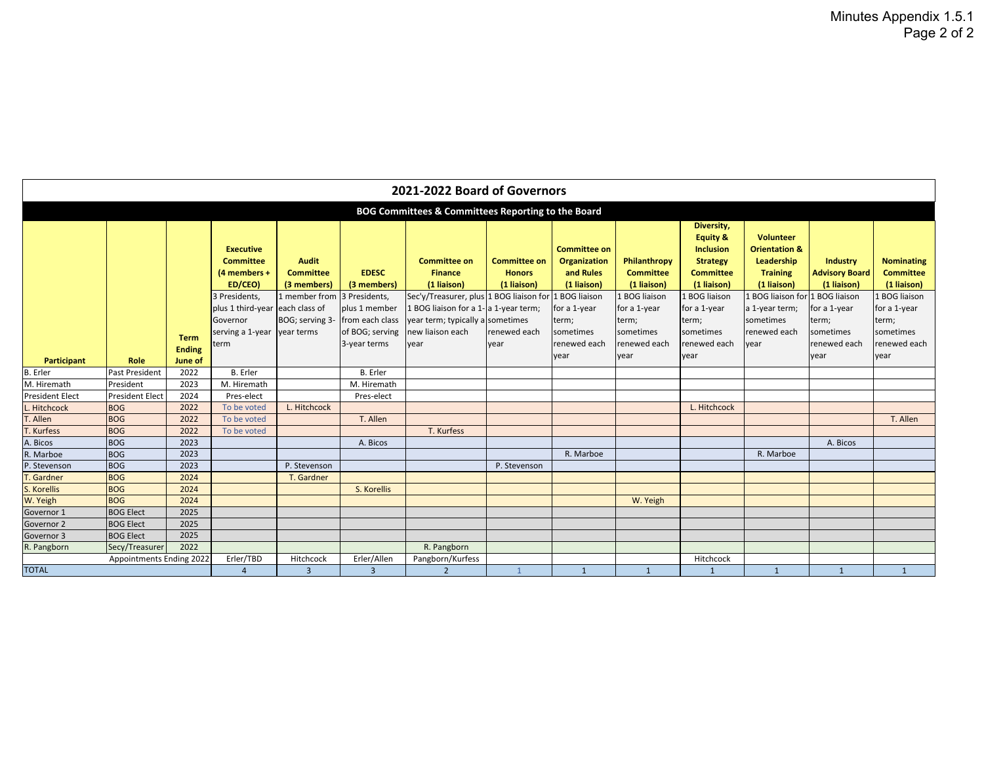| 2021-2022 Board of Governors                       |                          |                              |                                                                                  |                                                                  |                                                                     |                                                                                                               |                                                     |                                                                 |                                                                  |                                                                                                                              |                                                                                                                                 |                                                         |                                                                       |
|----------------------------------------------------|--------------------------|------------------------------|----------------------------------------------------------------------------------|------------------------------------------------------------------|---------------------------------------------------------------------|---------------------------------------------------------------------------------------------------------------|-----------------------------------------------------|-----------------------------------------------------------------|------------------------------------------------------------------|------------------------------------------------------------------------------------------------------------------------------|---------------------------------------------------------------------------------------------------------------------------------|---------------------------------------------------------|-----------------------------------------------------------------------|
| BOG Committees & Committees Reporting to the Board |                          |                              |                                                                                  |                                                                  |                                                                     |                                                                                                               |                                                     |                                                                 |                                                                  |                                                                                                                              |                                                                                                                                 |                                                         |                                                                       |
|                                                    |                          |                              | <b>Executive</b><br><b>Committee</b><br>(4 members +<br>ED/CEO)<br>3 Presidents, | <b>Audit</b><br><b>Committee</b><br>(3 members)<br>1 member from | <b>EDESC</b><br>(3 members)<br>3 Presidents.                        | <b>Committee on</b><br><b>Finance</b><br>(1 liaison)<br>Sec'y/Treasurer, plus 1 BOG liaison for 1 BOG liaison | <b>Committee on</b><br><b>Honors</b><br>(1 liaison) | <b>Committee on</b><br>Organization<br>and Rules<br>(1 liaison) | Philanthropy<br><b>Committee</b><br>(1 liaison)<br>1 BOG liaison | Diversity,<br><b>Equity &amp;</b><br><b>Inclusion</b><br><b>Strategy</b><br><b>Committee</b><br>(1 liaison)<br>1 BOG liaison | <b>Volunteer</b><br><b>Orientation &amp;</b><br>Leadership<br><b>Training</b><br>(1 liaison)<br>1 BOG liaison for 1 BOG liaison | <b>Industry</b><br><b>Advisory Board</b><br>(1 liaison) | <b>Nominating</b><br><b>Committee</b><br>(1 liaison)<br>1 BOG liaison |
|                                                    |                          | <b>Term</b><br><b>Ending</b> | plus 1 third-year each class of<br>Governor<br>serving a 1-year<br>term          | BOG; serving 3-<br>year terms                                    | plus 1 member<br>from each class<br>of BOG; serving<br>3-year terms | 1 BOG liaison for a 1-a 1-year term;<br>year term; typically a sometimes<br>new liaison each<br>year          | renewed each<br>year                                | for a 1-year<br>term;<br>sometimes<br>renewed each              | for a 1-year<br>term;<br>sometimes<br>renewed each               | for a 1-year<br>term;<br>sometimes<br>renewed each                                                                           | a 1-year term;<br>sometimes<br>renewed each<br>year                                                                             | for a 1-year<br>term;<br>sometimes<br>renewed each      | for a 1-year<br>term;<br>sometimes<br>renewed each                    |
| <b>Participant</b>                                 | <b>Role</b>              | June of                      |                                                                                  |                                                                  |                                                                     |                                                                                                               |                                                     | year                                                            | year                                                             | year                                                                                                                         |                                                                                                                                 | year                                                    | year                                                                  |
| <b>B.</b> Erler                                    | <b>Past President</b>    | 2022                         | B. Erler                                                                         |                                                                  | <b>B.</b> Erler                                                     |                                                                                                               |                                                     |                                                                 |                                                                  |                                                                                                                              |                                                                                                                                 |                                                         |                                                                       |
| M. Hiremath                                        | President                | 2023                         | M. Hiremath                                                                      |                                                                  | $\overline{M}$ . Hiremath                                           |                                                                                                               |                                                     |                                                                 |                                                                  |                                                                                                                              |                                                                                                                                 |                                                         |                                                                       |
| <b>President Elect</b>                             | <b>President Elect</b>   | 2024                         | Pres-elect                                                                       |                                                                  | Pres-elect                                                          |                                                                                                               |                                                     |                                                                 |                                                                  |                                                                                                                              |                                                                                                                                 |                                                         |                                                                       |
| Hitchcock                                          | <b>BOG</b>               | 2022                         | To be voted                                                                      | L. Hitchcock                                                     |                                                                     |                                                                                                               |                                                     |                                                                 |                                                                  | L. Hitchcock                                                                                                                 |                                                                                                                                 |                                                         |                                                                       |
| T. Allen                                           | <b>BOG</b>               | 2022                         | To be voted                                                                      |                                                                  | T. Allen                                                            |                                                                                                               |                                                     |                                                                 |                                                                  |                                                                                                                              |                                                                                                                                 |                                                         | T. Allen                                                              |
| . Kurfess                                          | <b>BOG</b>               | 2022                         | To be voted                                                                      |                                                                  |                                                                     | T. Kurfess                                                                                                    |                                                     |                                                                 |                                                                  |                                                                                                                              |                                                                                                                                 |                                                         |                                                                       |
| A. Bicos                                           | <b>BOG</b>               | 2023                         |                                                                                  |                                                                  | A. Bicos                                                            |                                                                                                               |                                                     |                                                                 |                                                                  |                                                                                                                              |                                                                                                                                 | A. Bicos                                                |                                                                       |
| R. Marboe                                          | <b>BOG</b>               | 2023                         |                                                                                  |                                                                  |                                                                     |                                                                                                               |                                                     | R. Marboe                                                       |                                                                  |                                                                                                                              | R. Marboe                                                                                                                       |                                                         |                                                                       |
| P. Stevenson                                       | <b>BOG</b>               | 2023                         |                                                                                  | P. Stevenson                                                     |                                                                     |                                                                                                               | P. Stevenson                                        |                                                                 |                                                                  |                                                                                                                              |                                                                                                                                 |                                                         |                                                                       |
| . Gardner                                          | <b>BOG</b>               | 2024                         |                                                                                  | T. Gardner                                                       |                                                                     |                                                                                                               |                                                     |                                                                 |                                                                  |                                                                                                                              |                                                                                                                                 |                                                         |                                                                       |
| S. Korellis                                        | <b>BOG</b>               | 2024                         |                                                                                  |                                                                  | S. Korellis                                                         |                                                                                                               |                                                     |                                                                 |                                                                  |                                                                                                                              |                                                                                                                                 |                                                         |                                                                       |
| W. Yeigh                                           | <b>BOG</b>               | 2024                         |                                                                                  |                                                                  |                                                                     |                                                                                                               |                                                     |                                                                 | W. Yeigh                                                         |                                                                                                                              |                                                                                                                                 |                                                         |                                                                       |
| Governor 1                                         | <b>BOG Elect</b>         | 2025                         |                                                                                  |                                                                  |                                                                     |                                                                                                               |                                                     |                                                                 |                                                                  |                                                                                                                              |                                                                                                                                 |                                                         |                                                                       |
| Governor 2                                         | <b>BOG Elect</b>         | 2025                         |                                                                                  |                                                                  |                                                                     |                                                                                                               |                                                     |                                                                 |                                                                  |                                                                                                                              |                                                                                                                                 |                                                         |                                                                       |
| Governor 3                                         | <b>BOG Elect</b>         | 2025                         |                                                                                  |                                                                  |                                                                     |                                                                                                               |                                                     |                                                                 |                                                                  |                                                                                                                              |                                                                                                                                 |                                                         |                                                                       |
| R. Pangborn                                        | Secy/Treasurer           | 2022                         |                                                                                  |                                                                  |                                                                     | R. Pangborn                                                                                                   |                                                     |                                                                 |                                                                  |                                                                                                                              |                                                                                                                                 |                                                         |                                                                       |
|                                                    | Appointments Ending 2022 |                              | Erler/TBD                                                                        | Hitchcock                                                        | Erler/Allen                                                         | Pangborn/Kurfess                                                                                              |                                                     |                                                                 |                                                                  | Hitchcock                                                                                                                    |                                                                                                                                 |                                                         |                                                                       |
| <b>TOTAL</b>                                       |                          |                              | $\overline{4}$                                                                   | $\overline{3}$                                                   | $\overline{3}$                                                      | $\overline{2}$                                                                                                |                                                     | $\mathbf{1}$                                                    | $\mathbf{1}$                                                     |                                                                                                                              | 1                                                                                                                               | $\mathbf{1}$                                            | 1                                                                     |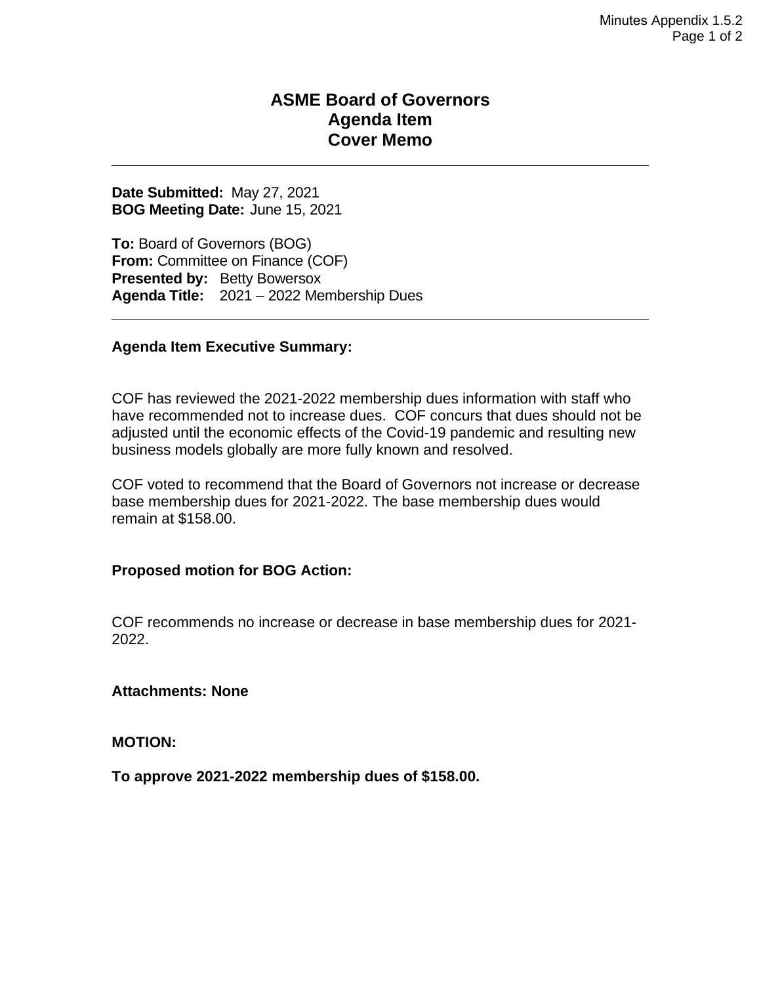## **ASME Board of Governors Agenda Item Cover Memo**

**Date Submitted:** May 27, 2021 **BOG Meeting Date:** June 15, 2021

**To:** Board of Governors (BOG) **From:** Committee on Finance (COF) **Presented by: Betty Bowersox Agenda Title:** 2021 – 2022 Membership Dues

#### **Agenda Item Executive Summary:**

COF has reviewed the 2021-2022 membership dues information with staff who have recommended not to increase dues. COF concurs that dues should not be adjusted until the economic effects of the Covid-19 pandemic and resulting new business models globally are more fully known and resolved.

COF voted to recommend that the Board of Governors not increase or decrease base membership dues for 2021-2022. The base membership dues would remain at \$158.00.

### **Proposed motion for BOG Action:**

COF recommends no increase or decrease in base membership dues for 2021- 2022.

**Attachments: None**

**MOTION:**

**To approve 2021-2022 membership dues of \$158.00.**